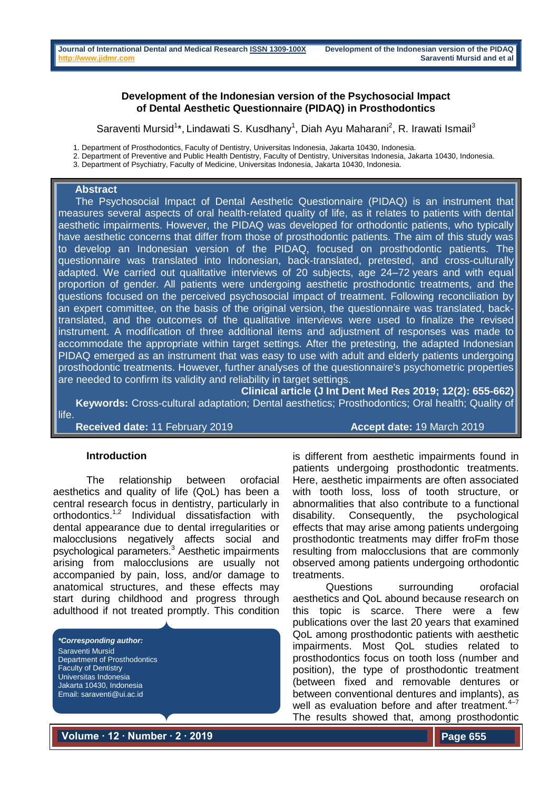### **Development of the Indonesian version of the Psychosocial Impact of Dental Aesthetic Questionnaire (PIDAQ) in Prosthodontics**

Saraventi Mursid<sup>1\*</sup>, Lindawati S. Kusdhany<sup>1</sup>, Diah Ayu Maharani<sup>2</sup>, R. Irawati Ismail<sup>3</sup>

1. Department of Prosthodontics, Faculty of Dentistry, Universitas Indonesia, Jakarta 10430, Indonesia.

2. Department of Preventive and Public Health Dentistry, Faculty of Dentistry, Universitas Indonesia, Jakarta 10430, Indonesia.

3. Department of Psychiatry, Faculty of Medicine, Universitas Indonesia, Jakarta 10430, Indonesia.

#### **Abstract**

 The Psychosocial Impact of Dental Aesthetic Questionnaire (PIDAQ) is an instrument that measures several aspects of oral health-related quality of life, as it relates to patients with dental aesthetic impairments. However, the PIDAQ was developed for orthodontic patients, who typically have aesthetic concerns that differ from those of prosthodontic patients. The aim of this study was to develop an Indonesian version of the PIDAQ, focused on prosthodontic patients. The questionnaire was translated into Indonesian, back-translated, pretested, and cross-culturally adapted. We carried out qualitative interviews of 20 subjects, age 24–72 years and with equal proportion of gender. All patients were undergoing aesthetic prosthodontic treatments, and the questions focused on the perceived psychosocial impact of treatment. Following reconciliation by an expert committee, on the basis of the original version, the questionnaire was translated, backtranslated, and the outcomes of the qualitative interviews were used to finalize the revised instrument. A modification of three additional items and adjustment of responses was made to accommodate the appropriate within target settings. After the pretesting, the adapted Indonesian PIDAQ emerged as an instrument that was easy to use with adult and elderly patients undergoing prosthodontic treatments. However, further analyses of the questionnaire's psychometric properties are needed to confirm its validity and reliability in target settings.

**Clinical article (J Int Dent Med Res 2019; 12(2): 655-662) Keywords:** Cross-cultural adaptation; Dental aesthetics; Prosthodontics; Oral health; Quality of

life.

**Received date:** 11 February 2019 **Accept date:** 19 March 2019

#### **Introduction**

The relationship between orofacial aesthetics and quality of life (QoL) has been a central research focus in dentistry, particularly in orthodontics.1,2 Individual dissatisfaction with dental appearance due to dental irregularities or malocclusions negatively affects social and psychological parameters.<sup>3</sup> Aesthetic impairments arising from malocclusions are usually not accompanied by pain, loss, and/or damage to anatomical structures, and these effects may start during childhood and progress through adulthood if not treated promptly. This condition

*\*Corresponding author:* Saraventi Mursid Department of Prosthodontics Faculty of Dentistry Universitas Indonesia Jakarta 10430, Indonesia Email: saraventi@ui.ac.id

is different from aesthetic impairments found in patients undergoing prosthodontic treatments. Here, aesthetic impairments are often associated with tooth loss, loss of tooth structure, or abnormalities that also contribute to a functional disability. Consequently, the psychological effects that may arise among patients undergoing prosthodontic treatments may differ froFm those resulting from malocclusions that are commonly observed among patients undergoing orthodontic treatments.

Questions surrounding orofacial aesthetics and QoL abound because research on this topic is scarce. There were a few publications over the last 20 years that examined QoL among prosthodontic patients with aesthetic impairments. Most QoL studies related to prosthodontics focus on tooth loss (number and position), the type of prosthodontic treatment (between fixed and removable dentures or between conventional dentures and implants), as well as evaluation before and after treatment.<sup>4-7</sup> The results showed that, among prosthodontic

**Volume ∙ 12 ∙ Number ∙ 2 ∙ 2019**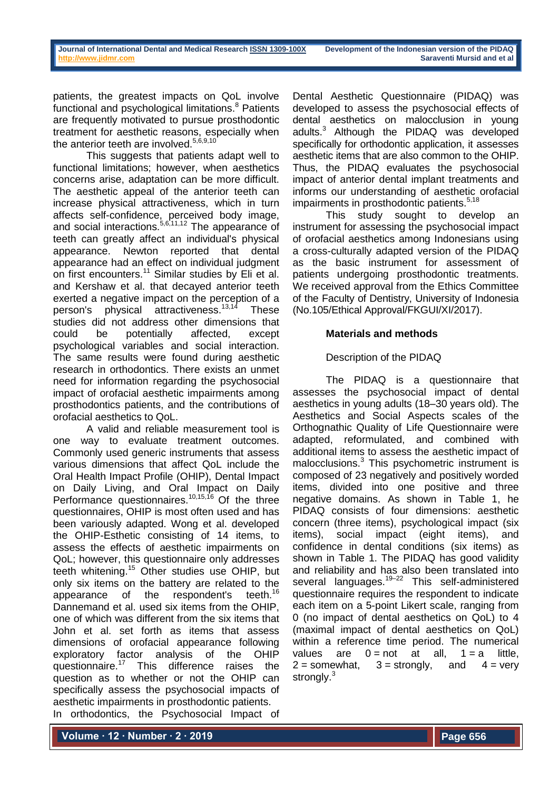patients, the greatest impacts on QoL involve functional and psychological limitations.<sup>8</sup> Patients are frequently motivated to pursue prosthodontic treatment for aesthetic reasons, especially when the anterior teeth are involved.<sup>5,6,9,10</sup>

This suggests that patients adapt well to functional limitations; however, when aesthetics concerns arise, adaptation can be more difficult. The aesthetic appeal of the anterior teeth can increase physical attractiveness, which in turn affects self-confidence, perceived body image, and social interactions.<sup>5,6,11,12</sup> The appearance of teeth can greatly affect an individual's physical appearance. Newton reported that dental appearance had an effect on individual judgment on first encounters.<sup>11</sup> Similar studies by Eli et al. and Kershaw et al. that decayed anterior teeth exerted a negative impact on the perception of a person's physical attractiveness.<sup>13,14</sup> These studies did not address other dimensions that could be potentially affected, except psychological variables and social interaction. The same results were found during aesthetic research in orthodontics. There exists an unmet need for information regarding the psychosocial impact of orofacial aesthetic impairments among prosthodontics patients, and the contributions of orofacial aesthetics to QoL.

A valid and reliable measurement tool is one way to evaluate treatment outcomes. Commonly used generic instruments that assess various dimensions that affect QoL include the Oral Health Impact Profile (OHIP), Dental Impact on Daily Living, and Oral Impact on Daily Performance questionnaires.<sup>10,15,16</sup> Of the three questionnaires, OHIP is most often used and has been variously adapted. Wong et al. developed the OHIP-Esthetic consisting of 14 items, to assess the effects of aesthetic impairments on QoL; however, this questionnaire only addresses teeth whitening.<sup>15</sup> Other studies use OHIP, but only six items on the battery are related to the appearance of the respondent's teeth.<sup>16</sup> appearance of the respondent's Dannemand et al. used six items from the OHIP, one of which was different from the six items that John et al. set forth as items that assess dimensions of orofacial appearance following exploratory factor analysis of the OHIP<br>questionnaire.<sup>17</sup> This difference raises the This difference raises the question as to whether or not the OHIP can specifically assess the psychosocial impacts of aesthetic impairments in prosthodontic patients. In orthodontics, the Psychosocial Impact of

Dental Aesthetic Questionnaire (PIDAQ) was developed to assess the psychosocial effects of dental aesthetics on malocclusion in young adults.<sup>3</sup> Although the PIDAQ was developed specifically for orthodontic application, it assesses aesthetic items that are also common to the OHIP. Thus, the PIDAQ evaluates the psychosocial impact of anterior dental implant treatments and informs our understanding of aesthetic orofacial impairments in prosthodontic patients.<sup>5,18</sup>

This study sought to develop an instrument for assessing the psychosocial impact of orofacial aesthetics among Indonesians using a cross-culturally adapted version of the PIDAQ as the basic instrument for assessment of patients undergoing prosthodontic treatments. We received approval from the Ethics Committee of the Faculty of Dentistry, University of Indonesia (No.105/Ethical Approval/FKGUI/XI/2017).

# **Materials and methods**

## Description of the PIDAQ

The PIDAQ is a questionnaire that assesses the psychosocial impact of dental aesthetics in young adults (18–30 years old). The Aesthetics and Social Aspects scales of the Orthognathic Quality of Life Questionnaire were adapted, reformulated, and combined with additional items to assess the aesthetic impact of malocclusions.<sup>3</sup> This psychometric instrument is composed of 23 negatively and positively worded items, divided into one positive and three negative domains. As shown in Table 1, he PIDAQ consists of four dimensions: aesthetic concern (three items), psychological impact (six items), social impact (eight items), and confidence in dental conditions (six items) as shown in Table 1. The PIDAQ has good validity and reliability and has also been translated into several languages.<sup>19–22</sup> This self-administered questionnaire requires the respondent to indicate each item on a 5-point Likert scale, ranging from 0 (no impact of dental aesthetics on QoL) to 4 (maximal impact of dental aesthetics on QoL) within a reference time period. The numerical values are  $0 = not$  at all,  $1 = a$  little,  $2 =$  somewhat,  $3 =$  strongly, and  $4 =$  very strongly.<sup>3</sup>

**Volume ∙ 12 ∙ Number ∙ 2 ∙ 2019**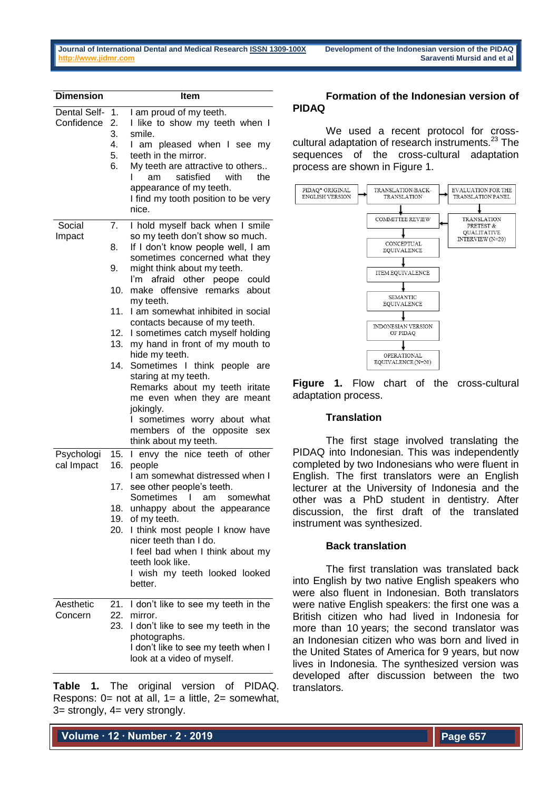| <b>Dimension</b>           |                                                   | <b>Item</b>                                                                                                                                                                                                                                                                                                                                                                                                                                                                                                                                                                                                                                                 |  |  |
|----------------------------|---------------------------------------------------|-------------------------------------------------------------------------------------------------------------------------------------------------------------------------------------------------------------------------------------------------------------------------------------------------------------------------------------------------------------------------------------------------------------------------------------------------------------------------------------------------------------------------------------------------------------------------------------------------------------------------------------------------------------|--|--|
| Dental Self-<br>Confidence | 1.<br>2.<br>3.<br>4.<br>5.<br>6.                  | I am proud of my teeth.<br>I like to show my teeth when I<br>smile.<br>I am pleased when I see my<br>teeth in the mirror.<br>My teeth are attractive to others<br>satisfied<br>with<br>the<br>am<br>appearance of my teeth.<br>I find my tooth position to be very<br>nice.                                                                                                                                                                                                                                                                                                                                                                                 |  |  |
| Social<br>Impact           | 7.<br>8.<br>9.<br>10.<br>11.<br>12.<br>13.<br>14. | I hold myself back when I smile<br>so my teeth don't show so much.<br>If I don't know people well, I am<br>sometimes concerned what they<br>might think about my teeth.<br>I'm afraid other peope could<br>make offensive remarks about<br>my teeth.<br>I am somewhat inhibited in social<br>contacts because of my teeth.<br>I sometimes catch myself holding<br>my hand in front of my mouth to<br>hide my teeth.<br>Sometimes I think<br>people<br>are<br>staring at my teeth.<br>Remarks about my teeth iritate<br>me even when they are meant<br>jokingly.<br>sometimes worry about what<br>members of<br>the opposite<br>sex<br>think about my teeth. |  |  |
| Psychologi<br>cal Impact   | 15.<br>16.<br>17.<br>18.<br>20.                   | I envy the nice teeth of other<br>people<br>I am somewhat distressed when I<br>see other people's teeth.<br>Sometimes<br>am<br>somewhat<br>L<br>unhappy about the appearance<br>19. of my teeth.<br>I think most people I know have<br>nicer teeth than I do.<br>I feel bad when I think about my<br>teeth look like.<br>I wish my teeth looked looked<br>better.                                                                                                                                                                                                                                                                                           |  |  |
| Aesthetic<br>Concern       | 22.<br>23.                                        | 21. I don't like to see my teeth in the<br>mirror.<br>I don't like to see my teeth in the<br>photographs.<br>I don't like to see my teeth when I<br>look at a video of myself.                                                                                                                                                                                                                                                                                                                                                                                                                                                                              |  |  |

**Table 1.** The original version of PIDAQ. Respons: 0= not at all, 1= a little, 2= somewhat, 3= strongly, 4= very strongly.

## **Formation of the Indonesian version of PIDAQ**

We used a recent protocol for crosscultural adaptation of research instruments.<sup>23</sup> The sequences of the cross-cultural adaptation process are shown in Figure 1.



**Figure 1.** Flow chart of the cross-cultural adaptation process.

## **Translation**

The first stage involved translating the PIDAQ into Indonesian. This was independently completed by two Indonesians who were fluent in English. The first translators were an English lecturer at the University of Indonesia and the other was a PhD student in dentistry. After discussion, the first draft of the translated instrument was synthesized.

## **Back translation**

The first translation was translated back into English by two native English speakers who were also fluent in Indonesian. Both translators were native English speakers: the first one was a British citizen who had lived in Indonesia for more than 10 years; the second translator was an Indonesian citizen who was born and lived in the United States of America for 9 years, but now lives in Indonesia. The synthesized version was developed after discussion between the two translators.

**Volume ∙ 12 ∙ Number ∙ 2 ∙ 2019**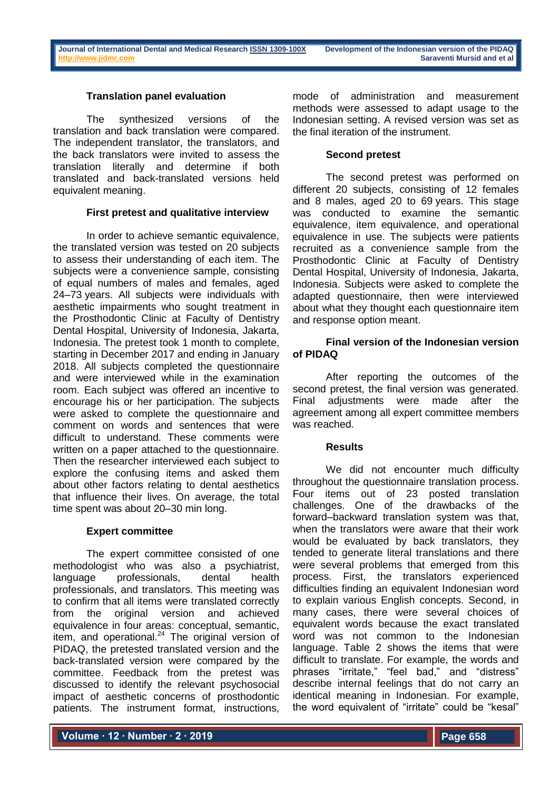## **Translation panel evaluation**

The synthesized versions of the translation and back translation were compared. The independent translator, the translators, and the back translators were invited to assess the translation literally and determine if both translated and back-translated versions held equivalent meaning.

### **First pretest and qualitative interview**

In order to achieve semantic equivalence, the translated version was tested on 20 subjects to assess their understanding of each item. The subjects were a convenience sample, consisting of equal numbers of males and females, aged 24–73 years. All subjects were individuals with aesthetic impairments who sought treatment in the Prosthodontic Clinic at Faculty of Dentistry Dental Hospital, University of Indonesia, Jakarta, Indonesia. The pretest took 1 month to complete, starting in December 2017 and ending in January 2018. All subjects completed the questionnaire and were interviewed while in the examination room. Each subject was offered an incentive to encourage his or her participation. The subjects were asked to complete the questionnaire and comment on words and sentences that were difficult to understand. These comments were written on a paper attached to the questionnaire. Then the researcher interviewed each subject to explore the confusing items and asked them about other factors relating to dental aesthetics that influence their lives. On average, the total time spent was about 20–30 min long.

#### **Expert committee**

The expert committee consisted of one methodologist who was also a psychiatrist, language professionals, dental health professionals, and translators. This meeting was to confirm that all items were translated correctly from the original version and achieved equivalence in four areas: conceptual, semantic, item, and operational.<sup>24</sup> The original version of PIDAQ, the pretested translated version and the back-translated version were compared by the committee. Feedback from the pretest was discussed to identify the relevant psychosocial impact of aesthetic concerns of prosthodontic patients. The instrument format, instructions,

mode of administration and measurement methods were assessed to adapt usage to the Indonesian setting. A revised version was set as the final iteration of the instrument.

## **Second pretest**

The second pretest was performed on different 20 subjects, consisting of 12 females and 8 males, aged 20 to 69 years. This stage was conducted to examine the semantic equivalence, item equivalence, and operational equivalence in use. The subjects were patients recruited as a convenience sample from the Prosthodontic Clinic at Faculty of Dentistry Dental Hospital, University of Indonesia, Jakarta, Indonesia. Subjects were asked to complete the adapted questionnaire, then were interviewed about what they thought each questionnaire item and response option meant.

## **Final version of the Indonesian version of PIDAQ**

After reporting the outcomes of the second pretest, the final version was generated. Final adjustments were made after the agreement among all expert committee members was reached.

## **Results**

We did not encounter much difficulty throughout the questionnaire translation process. Four items out of 23 posted translation challenges. One of the drawbacks of the forward–backward translation system was that, when the translators were aware that their work would be evaluated by back translators, they tended to generate literal translations and there were several problems that emerged from this process. First, the translators experienced difficulties finding an equivalent Indonesian word to explain various English concepts. Second, in many cases, there were several choices of equivalent words because the exact translated word was not common to the Indonesian language. Table 2 shows the items that were difficult to translate. For example, the words and phrases "irritate," "feel bad," and "distress" describe internal feelings that do not carry an identical meaning in Indonesian. For example, the word equivalent of "irritate" could be "kesal"

**Volume ∙ 12 ∙ Number ∙ 2 ∙ 2019**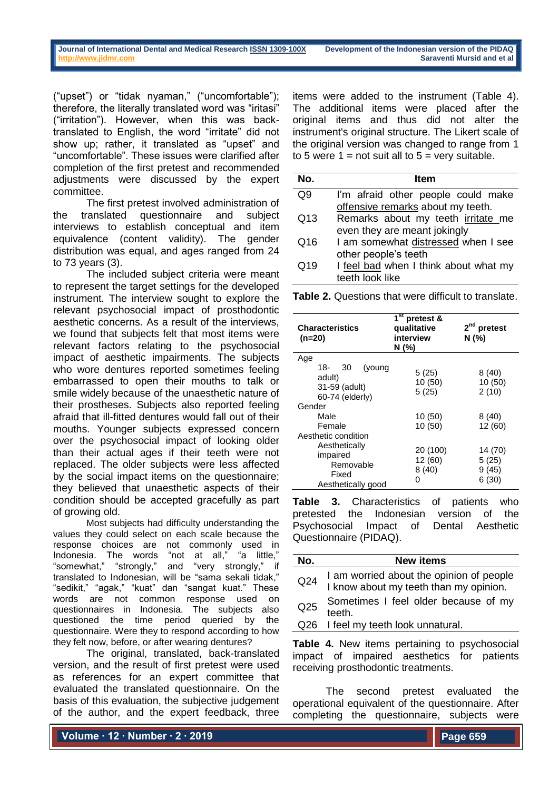("upset") or "tidak nyaman," ("uncomfortable"); therefore, the literally translated word was "iritasi" ("irritation"). However, when this was backtranslated to English, the word "irritate" did not show up; rather, it translated as "upset" and "uncomfortable". These issues were clarified after completion of the first pretest and recommended adjustments were discussed by the expert committee.

The first pretest involved administration of the translated questionnaire and subject interviews to establish conceptual and item equivalence (content validity). The gender distribution was equal, and ages ranged from 24 to 73 years (3).

The included subject criteria were meant to represent the target settings for the developed instrument. The interview sought to explore the relevant psychosocial impact of prosthodontic aesthetic concerns. As a result of the interviews, we found that subjects felt that most items were relevant factors relating to the psychosocial impact of aesthetic impairments. The subjects who wore dentures reported sometimes feeling embarrassed to open their mouths to talk or smile widely because of the unaesthetic nature of their prostheses. Subjects also reported feeling afraid that ill-fitted dentures would fall out of their mouths. Younger subjects expressed concern over the psychosocial impact of looking older than their actual ages if their teeth were not replaced. The older subjects were less affected by the social impact items on the questionnaire; they believed that unaesthetic aspects of their condition should be accepted gracefully as part of growing old.

Most subjects had difficulty understanding the values they could select on each scale because the response choices are not commonly used in Indonesia. The words "not at all," "a little," "somewhat," "strongly," and "very strongly," if translated to Indonesian, will be "sama sekali tidak," "sedikit," "agak," "kuat" dan "sangat kuat." These words are not common response used on questionnaires in Indonesia. The subjects also questioned the time period queried by the questionnaire. Were they to respond according to how they felt now, before, or after wearing dentures?

The original, translated, back-translated version, and the result of first pretest were used as references for an expert committee that evaluated the translated questionnaire. On the basis of this evaluation, the subjective judgement of the author, and the expert feedback, three

items were added to the instrument (Table 4). The additional items were placed after the original items and thus did not alter the instrument's original structure. The Likert scale of the original version was changed to range from 1 to 5 were  $1 = not$  suit all to  $5 = very$  suitable.

| No. | <b>Item</b>                           |
|-----|---------------------------------------|
| 29  | I'm afraid other people could make    |
|     | offensive remarks about my teeth.     |
| Q13 | Remarks about my teeth irritate me    |
|     | even they are meant jokingly          |
| Q16 | I am somewhat distressed when I see   |
|     | other people's teeth                  |
| Q19 | I feel bad when I think about what my |
|     | teeth look like                       |

**Table 2.** Questions that were difficult to translate.

| <b>Characteristics</b><br>(n=20)                                      | $1^{\rm st}$<br>pretest &<br>qualitative<br>interview<br>N (%) | $2nd$ pretest<br>N (%)             |  |  |
|-----------------------------------------------------------------------|----------------------------------------------------------------|------------------------------------|--|--|
| Age<br>18-<br>(young<br>30                                            |                                                                |                                    |  |  |
| adult)<br>31-59 (adult)<br>60-74 (elderly)                            | 5(25)<br>10(50)<br>5(25)                                       | 8(40)<br>10 (50)<br>2(10)          |  |  |
| Gender                                                                |                                                                |                                    |  |  |
| Male                                                                  | 10(50)                                                         | 8(40)                              |  |  |
| Female                                                                | 10 (50)                                                        | 12 (60)                            |  |  |
| Aesthetic condition                                                   |                                                                |                                    |  |  |
| Aesthetically<br>impaired<br>Removable<br>Fixed<br>Aesthetically good | 20 (100)<br>12 (60)<br>8(40)<br>0                              | 14 (70)<br>5(25)<br>9(45)<br>6(30) |  |  |

**Table 3.** Characteristics of patients who pretested the Indonesian version of the Psychosocial Impact of Dental Aesthetic Questionnaire (PIDAQ).

| No.             | <b>New items</b>                                                                   |
|-----------------|------------------------------------------------------------------------------------|
| Q <sub>24</sub> | I am worried about the opinion of people<br>I know about my teeth than my opinion. |
| Q <sub>25</sub> | Sometimes I feel older because of my<br>teeth.                                     |
|                 | Q26 I feel my teeth look unnatural.                                                |
|                 |                                                                                    |

**Table 4.** New items pertaining to psychosocial impact of impaired aesthetics for patients receiving prosthodontic treatments.

The second pretest evaluated the operational equivalent of the questionnaire. After completing the questionnaire, subjects were

**Volume ∙ 12 ∙ Number ∙ 2 ∙ 2019**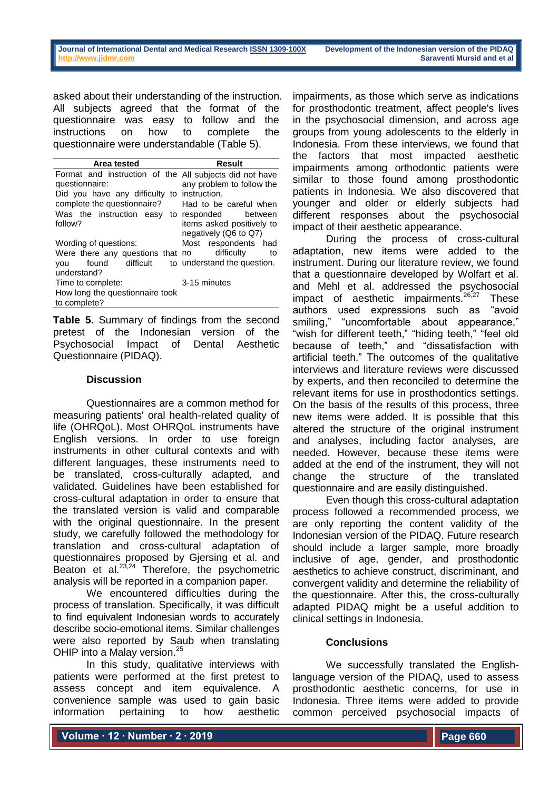asked about their understanding of the instruction. All subjects agreed that the format of the questionnaire was easy to follow and the instructions on how to complete the questionnaire were understandable (Table 5).

| Area tested                                             | Result                      |  |  |  |
|---------------------------------------------------------|-----------------------------|--|--|--|
| Format and instruction of the All subjects did not have |                             |  |  |  |
| questionnaire:                                          | any problem to follow the   |  |  |  |
| Did you have any difficulty to instruction.             |                             |  |  |  |
| complete the questionnaire?                             | Had to be careful when      |  |  |  |
| Was the instruction easy                                | to responded<br>between     |  |  |  |
| follow?                                                 | items asked positively to   |  |  |  |
|                                                         | negatively (Q6 to Q7)       |  |  |  |
| Wording of questions:                                   | Most respondents had        |  |  |  |
| Were there any questions that no                        | difficulty<br>to            |  |  |  |
| found difficult<br>vou                                  | to understand the question. |  |  |  |
| understand?                                             |                             |  |  |  |
| Time to complete:                                       | 3-15 minutes                |  |  |  |
| How long the questionnaire took                         |                             |  |  |  |
| to complete?                                            |                             |  |  |  |

**Table 5.** Summary of findings from the second pretest of the Indonesian version of the Psychosocial Impact of Dental Aesthetic Questionnaire (PIDAQ).

## **Discussion**

Questionnaires are a common method for measuring patients' oral health-related quality of life (OHRQoL). Most OHRQoL instruments have English versions. In order to use foreign instruments in other cultural contexts and with different languages, these instruments need to be translated, cross-culturally adapted, and validated. Guidelines have been established for cross-cultural adaptation in order to ensure that the translated version is valid and comparable with the original questionnaire. In the present study, we carefully followed the methodology for translation and cross-cultural adaptation of questionnaires proposed by Gjersing et al. and Beaton et al. $^{23,24}$  Therefore, the psychometric analysis will be reported in a companion paper.

We encountered difficulties during the process of translation. Specifically, it was difficult to find equivalent Indonesian words to accurately describe socio-emotional items. Similar challenges were also reported by Saub when translating OHIP into a Malay version.<sup>25</sup>

In this study, qualitative interviews with patients were performed at the first pretest to assess concept and item equivalence. A convenience sample was used to gain basic information pertaining to how aesthetic

impairments, as those which serve as indications for prosthodontic treatment, affect people's lives in the psychosocial dimension, and across age groups from young adolescents to the elderly in Indonesia. From these interviews, we found that the factors that most impacted aesthetic impairments among orthodontic patients were similar to those found among prosthodontic patients in Indonesia. We also discovered that younger and older or elderly subjects had different responses about the psychosocial impact of their aesthetic appearance.

During the process of cross-cultural adaptation, new items were added to the instrument. During our literature review, we found that a questionnaire developed by Wolfart et al. and Mehl et al. addressed the psychosocial impact of aesthetic impairments. $26,27$  These authors used expressions such as "avoid smiling," "uncomfortable about appearance," "wish for different teeth," "hiding teeth," "feel old because of teeth," and "dissatisfaction with artificial teeth." The outcomes of the qualitative interviews and literature reviews were discussed by experts, and then reconciled to determine the relevant items for use in prosthodontics settings. On the basis of the results of this process, three new items were added. It is possible that this altered the structure of the original instrument and analyses, including factor analyses, are needed. However, because these items were added at the end of the instrument, they will not change the structure of the translated questionnaire and are easily distinguished.

Even though this cross-cultural adaptation process followed a recommended process, we are only reporting the content validity of the Indonesian version of the PIDAQ. Future research should include a larger sample, more broadly inclusive of age, gender, and prosthodontic aesthetics to achieve construct, discriminant, and convergent validity and determine the reliability of the questionnaire. After this, the cross-culturally adapted PIDAQ might be a useful addition to clinical settings in Indonesia.

## **Conclusions**

We successfully translated the Englishlanguage version of the PIDAQ, used to assess prosthodontic aesthetic concerns, for use in Indonesia. Three items were added to provide common perceived psychosocial impacts of

**Volume ∙ 12 ∙ Number ∙ 2 ∙ 2019**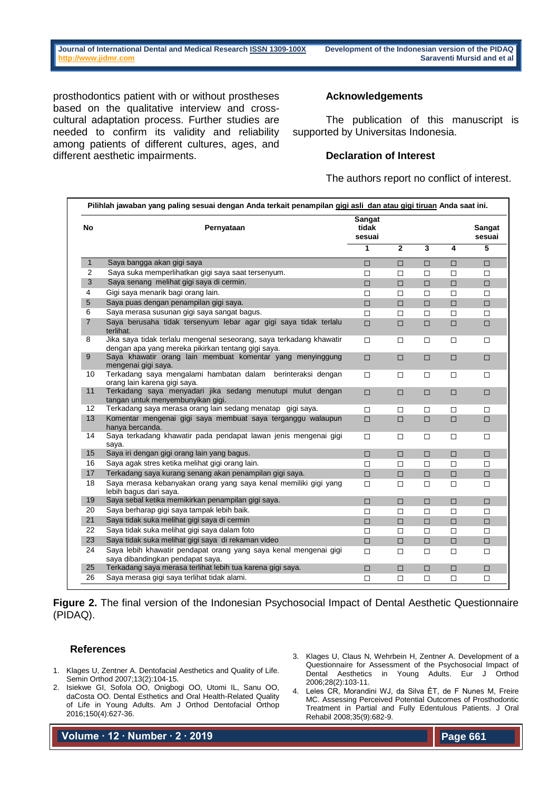prosthodontics patient with or without prostheses based on the qualitative interview and crosscultural adaptation process. Further studies are needed to confirm its validity and reliability among patients of different cultures, ages, and different aesthetic impairments.

### **Acknowledgements**

The publication of this manuscript is supported by Universitas Indonesia.

## **Declaration of Interest**

The authors report no conflict of interest.

| <b>No</b>      | Pernyataan                                                                                                                | Sangat<br>tidak<br>sesuai |                |        |        | <b>Sangat</b><br>sesuai |
|----------------|---------------------------------------------------------------------------------------------------------------------------|---------------------------|----------------|--------|--------|-------------------------|
|                |                                                                                                                           | 1                         | $\overline{2}$ | 3      | 4      | 5                       |
| $\mathbf{1}$   | Saya bangga akan gigi saya                                                                                                | $\Box$                    | $\Box$         | $\Box$ | $\Box$ | $\Box$                  |
| 2              | Saya suka memperlihatkan gigi saya saat tersenyum.                                                                        | $\Box$                    | □              | $\Box$ | $\Box$ | $\Box$                  |
| 3              | Saya senang melihat gigi saya di cermin.                                                                                  | $\Box$                    | $\Box$         | $\Box$ | $\Box$ | $\Box$                  |
| 4              | Gigi saya menarik bagi orang lain.                                                                                        | $\Box$                    | □              | $\Box$ | □      | $\Box$                  |
| 5              | Saya puas dengan penampilan gigi saya.                                                                                    | $\Box$                    | $\Box$         | $\Box$ | $\Box$ | $\Box$                  |
| 6              | Saya merasa susunan gigi saya sangat bagus.                                                                               | $\Box$                    | □              | $\Box$ | $\Box$ | $\Box$                  |
| $\overline{7}$ | Saya berusaha tidak tersenyum lebar agar gigi saya tidak terlalu<br>terlihat.                                             | $\Box$                    | $\Box$         | $\Box$ | $\Box$ | $\Box$                  |
| 8              | Jika saya tidak terlalu mengenal seseorang, saya terkadang khawatir<br>dengan apa yang mereka pikirkan tentang gigi saya. | $\Box$                    | □              | $\Box$ | □      | □                       |
| 9              | Saya khawatir orang lain membuat komentar yang menyinggung<br>mengenai gigi saya.                                         | $\Box$                    | $\Box$         | $\Box$ | $\Box$ | $\Box$                  |
| 10             | Terkadang saya mengalami hambatan dalam berinteraksi dengan<br>orang lain karena gigi saya.                               | □                         | $\Box$         | $\Box$ | $\Box$ | $\Box$                  |
| 11             | Terkadang saya menyadari jika sedang menutupi mulut dengan<br>tangan untuk menyembunyikan gigi.                           | $\Box$                    | $\Box$         | $\Box$ | $\Box$ | $\Box$                  |
| 12             | Terkadang saya merasa orang lain sedang menatap gigi saya.                                                                | $\Box$                    | $\Box$         | $\Box$ | □      | $\Box$                  |
| 13             | Komentar mengenai gigi saya membuat saya terganggu walaupun<br>hanya bercanda.                                            | $\Box$                    | □              | $\Box$ | $\Box$ | $\Box$                  |
| 14             | Saya terkadang khawatir pada pendapat lawan jenis mengenai gigi<br>saya.                                                  | $\Box$                    | □              | $\Box$ | $\Box$ | $\Box$                  |
| 15             | Saya iri dengan gigi orang lain yang bagus.                                                                               | $\Box$                    | □              | $\Box$ | $\Box$ | $\Box$                  |
| 16             | Saya agak stres ketika melihat gigi orang lain.                                                                           | $\Box$                    | $\Box$         | $\Box$ | $\Box$ | $\Box$                  |
| 17             | Terkadang saya kurang senang akan penampilan gigi saya.                                                                   | $\Box$                    | $\Box$         | $\Box$ | $\Box$ | $\Box$                  |
| 18             | Saya merasa kebanyakan orang yang saya kenal memiliki gigi yang<br>lebih bagus dari saya.                                 | $\Box$                    | □              | $\Box$ | □      | $\Box$                  |
| 19             | Saya sebal ketika memikirkan penampilan gigi saya.                                                                        | $\Box$                    | □              | $\Box$ | $\Box$ | $\Box$                  |
| 20             | Saya berharap gigi saya tampak lebih baik.                                                                                | $\Box$                    | $\Box$         | $\Box$ | $\Box$ | $\Box$                  |
| 21             | Saya tidak suka melihat gigi saya di cermin                                                                               | $\Box$                    | $\Box$         | $\Box$ | $\Box$ | $\Box$                  |
| 22             | Saya tidak suka melihat gigi saya dalam foto                                                                              | □                         | $\Box$         | $\Box$ | □      | $\Box$                  |
| 23             | Saya tidak suka melihat gigi saya di rekaman video                                                                        | $\Box$                    | $\Box$         | $\Box$ | $\Box$ | $\Box$                  |
| 24             | Saya lebih khawatir pendapat orang yang saya kenal mengenai gigi<br>saya dibandingkan pendapat saya.                      | $\Box$                    | □              | $\Box$ | $\Box$ | $\Box$                  |
| 25             | Terkadang saya merasa terlihat lebih tua karena gigi saya.                                                                | $\Box$                    | $\Box$         | □      | $\Box$ | $\Box$                  |
| 26             | Saya merasa gigi saya terlihat tidak alami.                                                                               | □                         | □              | $\Box$ | $\Box$ | $\Box$                  |

**Figure 2.** The final version of the Indonesian Psychosocial Impact of Dental Aesthetic Questionnaire (PIDAQ).

## **References**

- 1. Klages U, Zentner A. Dentofacial Aesthetics and Quality of Life. Semin Orthod 2007;13(2):104-15.
- 2. Isiekwe GI, Sofola OO, Onigbogi OO, Utomi IL, Sanu OO, daCosta OO. Dental Esthetics and Oral Health-Related Quality of Life in Young Adults. Am J Orthod Dentofacial Orthop 2016;150(4):627-36.

3. Klages U, Claus N, Wehrbein H, Zentner A. Development of a Questionnaire for Assessment of the Psychosocial Impact of<br>
Dental Aesthetics in Young Adults. Eur J Orthod Dental Aesthetics in Young Adults. Eur J 2006;28(2):103-11.

4. Leles CR, Morandini WJ, da Silva ÉT, de F Nunes M, Freire MC. Assessing Perceived Potential Outcomes of Prosthodontic Treatment in Partial and Fully Edentulous Patients. J Oral Rehabil 2008;35(9):682-9.

**Volume ∙ 12 ∙ Number ∙ 2 ∙ 2019**